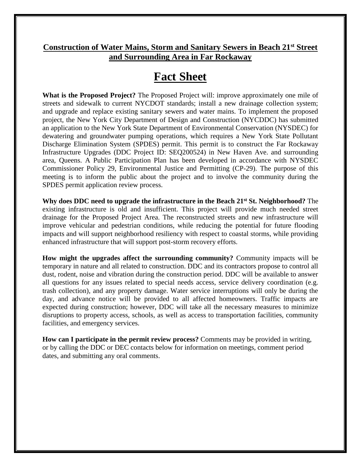## **Construction of Water Mains, Storm and Sanitary Sewers in Beach 21st Street and Surrounding Area in Far Rockaway**

## **Fact Sheet**

**What is the Proposed Project?** The Proposed Project will: improve approximately one mile of streets and sidewalk to current NYCDOT standards; install a new drainage collection system; and upgrade and replace existing sanitary sewers and water mains. To implement the proposed project, the New York City Department of Design and Construction (NYCDDC) has submitted an application to the New York State Department of Environmental Conservation (NYSDEC) for dewatering and groundwater pumping operations, which requires a New York State Pollutant Discharge Elimination System (SPDES) permit. This permit is to construct the Far Rockaway Infrastructure Upgrades (DDC Project ID: SEQ200524) in New Haven Ave. and surrounding area, Queens. A Public Participation Plan has been developed in accordance with NYSDEC Commissioner Policy 29, Environmental Justice and Permitting (CP-29). The purpose of this meeting is to inform the public about the project and to involve the community during the SPDES permit application review process.

**Why does DDC need to upgrade the infrastructure in the Beach 21st St. Neighborhood?** The existing infrastructure is old and insufficient. This project will provide much needed street drainage for the Proposed Project Area. The reconstructed streets and new infrastructure will improve vehicular and pedestrian conditions, while reducing the potential for future flooding impacts and will support neighborhood resiliency with respect to coastal storms, while providing enhanced infrastructure that will support post-storm recovery efforts.

**How might the upgrades affect the surrounding community?** Community impacts will be temporary in nature and all related to construction. DDC and its contractors propose to control all dust, rodent, noise and vibration during the construction period. DDC will be available to answer all questions for any issues related to special needs access, service delivery coordination (e.g. trash collection), and any property damage. Water service interruptions will only be during the day, and advance notice will be provided to all affected homeowners. Traffic impacts are expected during construction; however, DDC will take all the necessary measures to minimize disruptions to property access, schools, as well as access to transportation facilities, community facilities, and emergency services.

**How can I participate in the permit review process?** Comments may be provided in writing, or by calling the DDC or DEC contacts below for information on meetings, comment period dates, and submitting any oral comments.